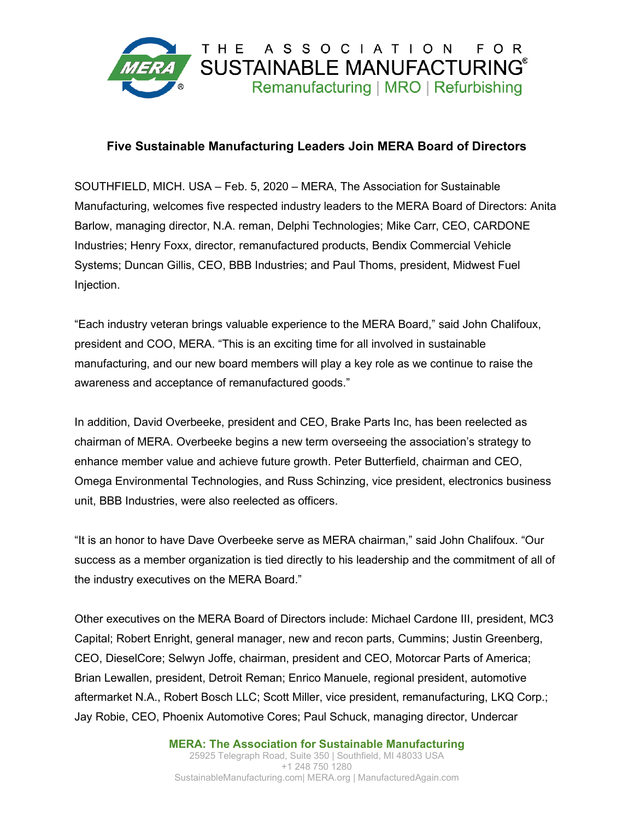

## **Five Sustainable Manufacturing Leaders Join MERA Board of Directors**

SOUTHFIELD, MICH. USA – Feb. 5, 2020 – MERA, The Association for Sustainable Manufacturing, welcomes five respected industry leaders to the MERA Board of Directors: Anita Barlow, managing director, N.A. reman, Delphi Technologies; Mike Carr, CEO, CARDONE Industries; Henry Foxx, director, remanufactured products, Bendix Commercial Vehicle Systems; Duncan Gillis, CEO, BBB Industries; and Paul Thoms, president, Midwest Fuel Injection.

"Each industry veteran brings valuable experience to the MERA Board," said John Chalifoux, president and COO, MERA. "This is an exciting time for all involved in sustainable manufacturing, and our new board members will play a key role as we continue to raise the awareness and acceptance of remanufactured goods."

In addition, David Overbeeke, president and CEO, Brake Parts Inc, has been reelected as chairman of MERA. Overbeeke begins a new term overseeing the association's strategy to enhance member value and achieve future growth. Peter Butterfield, chairman and CEO, Omega Environmental Technologies, and Russ Schinzing, vice president, electronics business unit, BBB Industries, were also reelected as officers.

"It is an honor to have Dave Overbeeke serve as MERA chairman," said John Chalifoux. "Our success as a member organization is tied directly to his leadership and the commitment of all of the industry executives on the MERA Board."

Other executives on the MERA Board of Directors include: Michael Cardone III, president, MC3 Capital; Robert Enright, general manager, new and recon parts, Cummins; Justin Greenberg, CEO, DieselCore; Selwyn Joffe, chairman, president and CEO, Motorcar Parts of America; Brian Lewallen, president, Detroit Reman; Enrico Manuele, regional president, automotive aftermarket N.A., Robert Bosch LLC; Scott Miller, vice president, remanufacturing, LKQ Corp.; Jay Robie, CEO, Phoenix Automotive Cores; Paul Schuck, managing director, Undercar

> **MERA: The Association for Sustainable Manufacturing** 25925 Telegraph Road, Suite 350 | Southfield, MI 48033 USA +1 248 750 1280 SustainableManufacturing.com| MERA.org | ManufacturedAgain.com